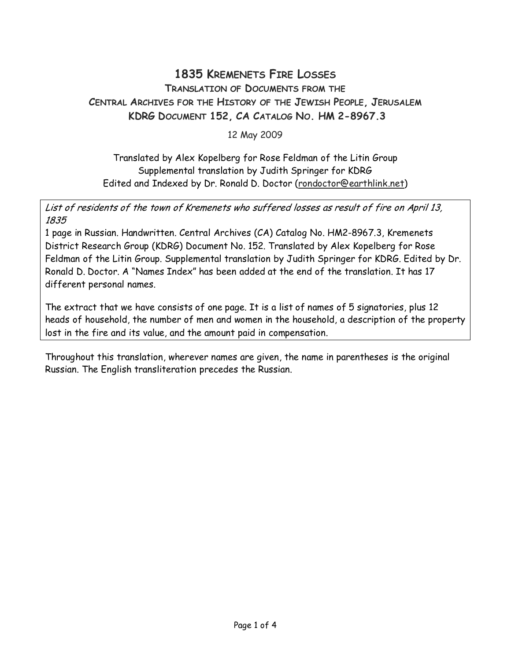## 1835 KREMENETS FIRE LOSSES TRANSLATION OF DOCUMENTS FROM THE CENTRAL ARCHIVES FOR THE HISTORY OF THE JEWISH PEOPLE, JERUSALEM KDRG DOCUMENT 152, CA CATALOG NO. HM 2-8967.3

12 May 2009

Translated by Alex Kopelberg for Rose Feldman of the Litin Group Supplemental translation by Judith Springer for KDRG Edited and Indexed by Dr. Ronald D. Doctor (rondoctor@earthlink.net)

List of residents of the town of Kremenets who suffered losses as result of fire on April 13, 1835

1 page in Russian. Handwritten. Central Archives (CA) Catalog No. HM2-8967.3, Kremenets District Research Group (KDRG) Document No. 152. Translated by Alex Kopelberg for Rose Feldman of the Litin Group. Supplemental translation by Judith Springer for KDRG. Edited by Dr. Ronald D. Doctor. A "Names Index" has been added at the end of the translation. It has 17 different personal names.

The extract that we have consists of one page. It is a list of names of 5 signatories, plus 12 heads of household, the number of men and women in the household, a description of the property lost in the fire and its value, and the amount paid in compensation.

Throughout this translation, wherever names are given, the name in parentheses is the original Russian. The English transliteration precedes the Russian.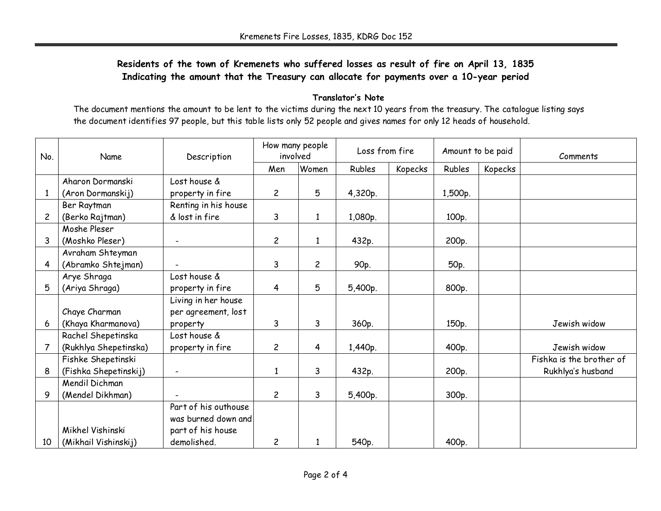## Residents of the town of Kremenets who suffered losses as result of fire on April 13, 1835 Indicating the amount that the Treasury can allocate for payments over a 10-year period

## Translator's Note

 The document mentions the amount to be lent to the victims during the next 10 years from the treasury. The catalogue listing says the document identifies 97 people, but this table lists only 52 people and gives names for only 12 heads of household.

| No.            | Name                  | Description          | How many people<br>involved |                | Loss from fire |         | Amount to be paid |         | Comments                 |
|----------------|-----------------------|----------------------|-----------------------------|----------------|----------------|---------|-------------------|---------|--------------------------|
|                |                       |                      | Men                         | Women          | Rubles         | Kopecks | Rubles            | Kopecks |                          |
|                | Aharon Dormanski      | Lost house &         |                             |                |                |         |                   |         |                          |
| $\mathbf{1}$   | (Aron Dormanskij)     | property in fire     | $\overline{c}$              | 5              | 4,320p.        |         | 1,500p.           |         |                          |
|                | Ber Raytman           | Renting in his house |                             |                |                |         |                   |         |                          |
| $\overline{c}$ | (Berko Rajtman)       | & lost in fire       | 3                           | 1              | 1,080p.        |         | 100p.             |         |                          |
|                | Moshe Pleser          |                      |                             |                |                |         |                   |         |                          |
| 3              | (Moshko Pleser)       |                      | $\overline{c}$              | $\mathbf{1}$   | 432p.          |         | 200p.             |         |                          |
|                | Avraham Shteyman      |                      |                             |                |                |         |                   |         |                          |
| 4              | (Abramko Shtejman)    |                      | 3                           | $\overline{c}$ | 90p.           |         | 50p.              |         |                          |
|                | Arye Shraga           | Lost house &         |                             |                |                |         |                   |         |                          |
| 5              | (Ariya Shraga)        | property in fire     | $\overline{4}$              | 5              | 5,400p.        |         | 800p.             |         |                          |
|                |                       | Living in her house  |                             |                |                |         |                   |         |                          |
|                | Chaye Charman         | per agreement, lost  |                             |                |                |         |                   |         |                          |
| 6              | (Khaya Kharmanova)    | property             | 3                           | 3              | 360p.          |         | 150p.             |         | Jewish widow             |
|                | Rachel Shepetinska    | Lost house &         |                             |                |                |         |                   |         |                          |
| 7              | (Rukhlya Shepetinska) | property in fire     | $\overline{c}$              | 4              | 1,440p.        |         | 400p.             |         | Jewish widow             |
|                | Fishke Shepetinski    |                      |                             |                |                |         |                   |         | Fishka is the brother of |
| 8              | (Fishka Shepetinskij) |                      | $\mathbf{1}$                | 3              | 432p.          |         | 200p.             |         | Rukhlya's husband        |
|                | Mendil Dichman        |                      |                             |                |                |         |                   |         |                          |
| 9              | (Mendel Dikhman)      |                      | $\overline{c}$              | 3              | 5,400p.        |         | 300p.             |         |                          |
|                |                       | Part of his outhouse |                             |                |                |         |                   |         |                          |
|                |                       | was burned down and  |                             |                |                |         |                   |         |                          |
|                | Mikhel Vishinski      | part of his house    |                             |                |                |         |                   |         |                          |
| 10             | (Mikhail Vishinskij)  | demolished.          | $\overline{c}$              | 1              | 540p.          |         | 400p.             |         |                          |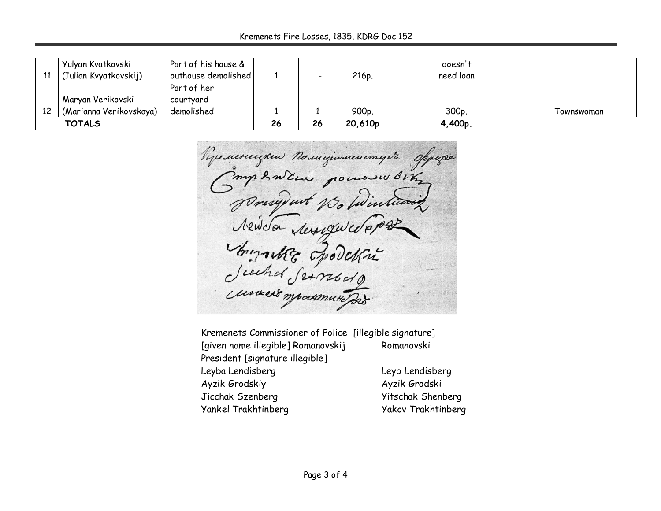Kremenets Fire Losses, 1835, KDRG Doc 152

| 11 | Yulyan Kvatkovski<br>(Iulian Kvyatkovskij)   | Part of his house &<br>outhouse demolished |    |    | 216p.   | doesn't<br>need loan |            |
|----|----------------------------------------------|--------------------------------------------|----|----|---------|----------------------|------------|
| 12 | Maryan Verikovski<br>(Marianna Verikovskaya) | Part of her<br>courtyard<br>demolished     |    |    | 900p.   | 300p.                | Townswoman |
|    | <b>TOTALS</b>                                |                                            | 26 | 26 | 20,610p | 4,400p.              |            |

Remercuzione Nomiginacemente oppaga Compendent pouroses Bing Josephut 1 Newco rempurco Sinnachte Epodet

Kremenets Commissioner of Police [illegible signature] [given name illegible] Romanovskij Romanovski President [signature illegible] Leyba Lendisberg Leyb Lendisberg Ayzik Grodskiy Ayzik Grodski Jicchak Szenberg Yitschak Shenberg Yankel Trakhtinberg Yakov Trakhtinberg